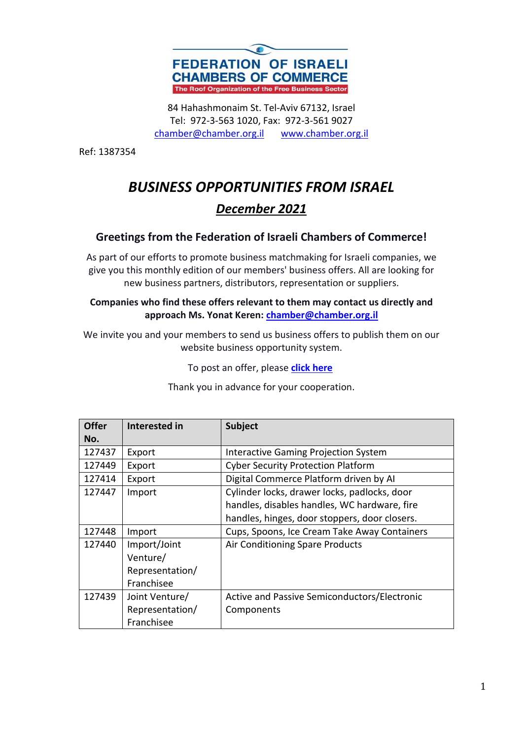

84 Hahashmonaim St. Tel-Aviv 67132, Israel Tel: 972-3-563 1020, Fax: 972-3-561 9027 chamber@chamber.org.il www.chamber.org.il

Ref: 1387354

# *BUSINESS OPPORTUNITIES FROM ISRAEL December 2021*

### **Greetings from the Federation of Israeli Chambers of Commerce!**

As part of our efforts to promote business matchmaking for Israeli companies, we give you this monthly edition of our members' business offers. All are looking for new business partners, distributors, representation or suppliers.

#### **Companies who find these offers relevant to them may contact us directly and approach Ms. Yonat Keren: chamber@chamber.org.il**

We invite you and your members to send us business offers to publish them on our website business opportunity system.

To post an offer, please **click here**

| <b>Offer</b> | Interested in   | <b>Subject</b>                                |
|--------------|-----------------|-----------------------------------------------|
| No.          |                 |                                               |
| 127437       | Export          | <b>Interactive Gaming Projection System</b>   |
| 127449       | Export          | <b>Cyber Security Protection Platform</b>     |
| 127414       | Export          | Digital Commerce Platform driven by AI        |
| 127447       | Import          | Cylinder locks, drawer locks, padlocks, door  |
|              |                 | handles, disables handles, WC hardware, fire  |
|              |                 | handles, hinges, door stoppers, door closers. |
| 127448       | Import          | Cups, Spoons, Ice Cream Take Away Containers  |
| 127440       | Import/Joint    | Air Conditioning Spare Products               |
|              | Venture/        |                                               |
|              | Representation/ |                                               |
|              | Franchisee      |                                               |
| 127439       | Joint Venture/  | Active and Passive Semiconductors/Electronic  |
|              | Representation/ | Components                                    |
|              | Franchisee      |                                               |

Thank you in advance for your cooperation.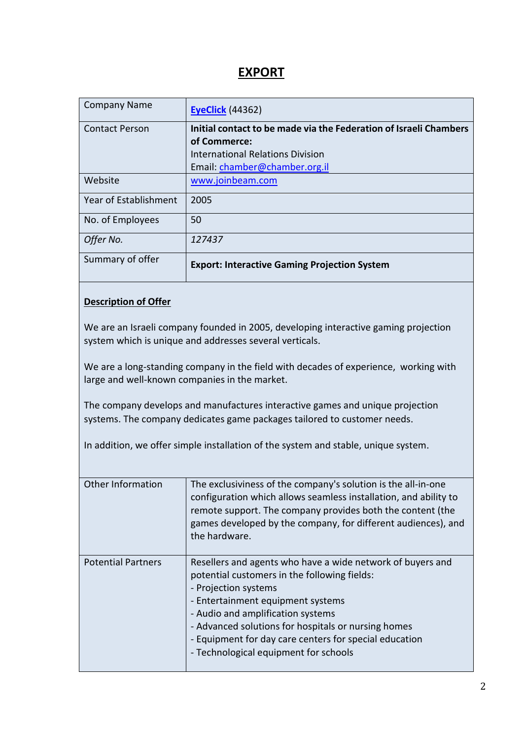### **EXPORT**

| <b>Company Name</b>   | <b>EyeClick (44362)</b>                                           |
|-----------------------|-------------------------------------------------------------------|
| <b>Contact Person</b> | Initial contact to be made via the Federation of Israeli Chambers |
|                       | of Commerce:                                                      |
|                       | International Relations Division                                  |
|                       | Email: chamber@chamber.org.il                                     |
| Website               | www.joinbeam.com                                                  |
| Year of Establishment | 2005                                                              |
| No. of Employees      | 50                                                                |
| Offer No.             | 127437                                                            |
| Summary of offer      | <b>Export: Interactive Gaming Projection System</b>               |

### **Description of Offer**

We are an Israeli company founded in 2005, developing interactive gaming projection system which is unique and addresses several verticals.

We are a long-standing company in the field with decades of experience, working with large and well-known companies in the market.

The company develops and manufactures interactive games and unique projection systems. The company dedicates game packages tailored to customer needs.

In addition, we offer simple installation of the system and stable, unique system.

| Other Information         | The exclusiviness of the company's solution is the all-in-one<br>configuration which allows seamless installation, and ability to<br>remote support. The company provides both the content (the<br>games developed by the company, for different audiences), and<br>the hardware.                                                                                      |
|---------------------------|------------------------------------------------------------------------------------------------------------------------------------------------------------------------------------------------------------------------------------------------------------------------------------------------------------------------------------------------------------------------|
| <b>Potential Partners</b> | Resellers and agents who have a wide network of buyers and<br>potential customers in the following fields:<br>- Projection systems<br>- Entertainment equipment systems<br>- Audio and amplification systems<br>- Advanced solutions for hospitals or nursing homes<br>- Equipment for day care centers for special education<br>- Technological equipment for schools |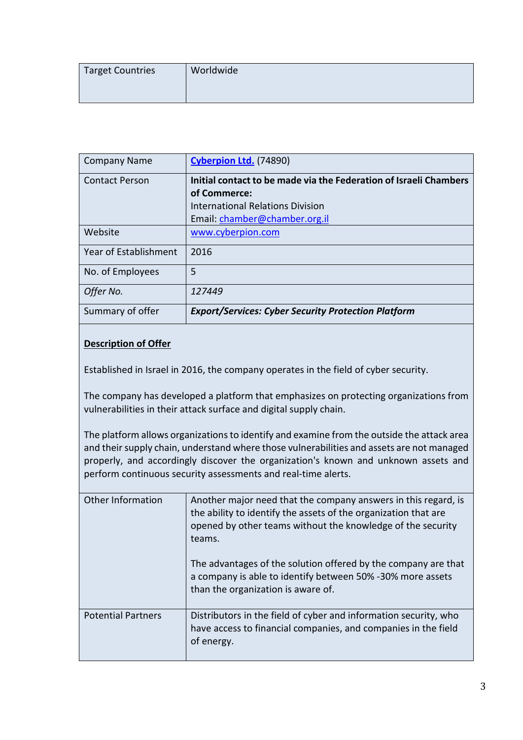| <b>Target Countries</b> | Worldwide |
|-------------------------|-----------|
|                         |           |

| <b>Company Name</b>   | Cyberpion Ltd. (74890)                                            |
|-----------------------|-------------------------------------------------------------------|
| <b>Contact Person</b> | Initial contact to be made via the Federation of Israeli Chambers |
|                       | of Commerce:                                                      |
|                       | International Relations Division                                  |
|                       | Email: chamber@chamber.org.il                                     |
| Website               | www.cyberpion.com                                                 |
| Year of Establishment | 2016                                                              |
| No. of Employees      | 5                                                                 |
| Offer No.             | 127449                                                            |
| Summary of offer      | <b>Export/Services: Cyber Security Protection Platform</b>        |

Established in Israel in 2016, the company operates in the field of cyber security.

The company has developed a platform that emphasizes on protecting organizations from vulnerabilities in their attack surface and digital supply chain.

The platform allows organizations to identify and examine from the outside the attack area and their supply chain, understand where those vulnerabilities and assets are not managed properly, and accordingly discover the organization's known and unknown assets and perform continuous security assessments and real-time alerts.

| Other Information         | Another major need that the company answers in this regard, is<br>the ability to identify the assets of the organization that are<br>opened by other teams without the knowledge of the security<br>teams.<br>The advantages of the solution offered by the company are that<br>a company is able to identify between 50% -30% more assets<br>than the organization is aware of. |
|---------------------------|----------------------------------------------------------------------------------------------------------------------------------------------------------------------------------------------------------------------------------------------------------------------------------------------------------------------------------------------------------------------------------|
| <b>Potential Partners</b> | Distributors in the field of cyber and information security, who<br>have access to financial companies, and companies in the field<br>of energy.                                                                                                                                                                                                                                 |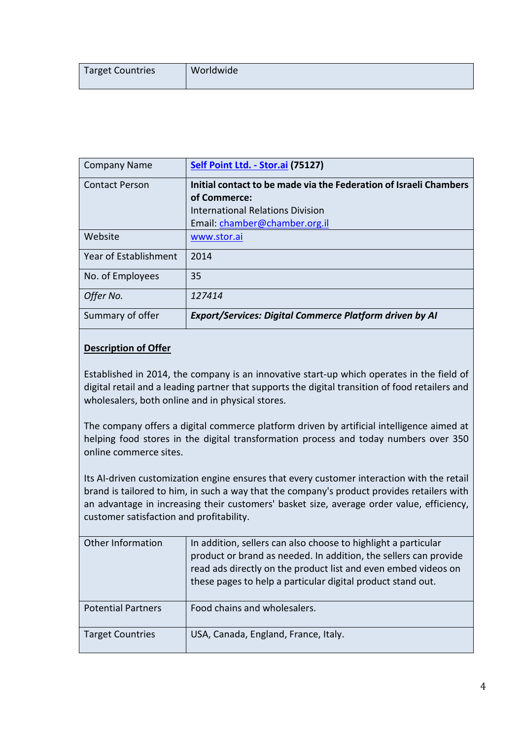| Target Countries | Worldwide |
|------------------|-----------|
|------------------|-----------|

| <b>Company Name</b>   | Self Point Ltd. - Stor.ai (75127)                                 |
|-----------------------|-------------------------------------------------------------------|
| <b>Contact Person</b> | Initial contact to be made via the Federation of Israeli Chambers |
|                       | of Commerce:                                                      |
|                       | International Relations Division                                  |
|                       | Email: chamber@chamber.org.il                                     |
| Website               | www.stor.ai                                                       |
| Year of Establishment | 2014                                                              |
| No. of Employees      | 35                                                                |
| Offer No.             | 127414                                                            |
| Summary of offer      | <b>Export/Services: Digital Commerce Platform driven by AI</b>    |

Established in 2014, the company is an innovative start-up which operates in the field of digital retail and a leading partner that supports the digital transition of food retailers and wholesalers, both online and in physical stores.

The company offers a digital commerce platform driven by artificial intelligence aimed at helping food stores in the digital transformation process and today numbers over 350 online commerce sites.

Its AI-driven customization engine ensures that every customer interaction with the retail brand is tailored to him, in such a way that the company's product provides retailers with an advantage in increasing their customers' basket size, average order value, efficiency, customer satisfaction and profitability.

| Other Information         | In addition, sellers can also choose to highlight a particular<br>product or brand as needed. In addition, the sellers can provide<br>read ads directly on the product list and even embed videos on<br>these pages to help a particular digital product stand out. |
|---------------------------|---------------------------------------------------------------------------------------------------------------------------------------------------------------------------------------------------------------------------------------------------------------------|
| <b>Potential Partners</b> | Food chains and wholesalers.                                                                                                                                                                                                                                        |
| <b>Target Countries</b>   | USA, Canada, England, France, Italy.                                                                                                                                                                                                                                |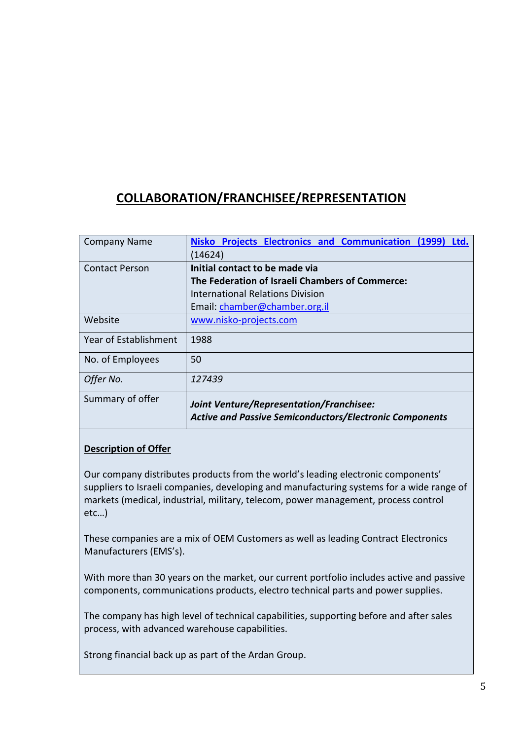## **COLLABORATION/FRANCHISEE/REPRESENTATION**

| <b>Company Name</b>   | Nisko Projects Electronics and Communication (1999)<br>Ltd.<br>(14624)                                            |
|-----------------------|-------------------------------------------------------------------------------------------------------------------|
| <b>Contact Person</b> | Initial contact to be made via                                                                                    |
|                       | The Federation of Israeli Chambers of Commerce:                                                                   |
|                       | <b>International Relations Division</b>                                                                           |
|                       | Email: chamber@chamber.org.il                                                                                     |
| Website               | www.nisko-projects.com                                                                                            |
| Year of Establishment | 1988                                                                                                              |
| No. of Employees      | 50                                                                                                                |
| Offer No.             | 127439                                                                                                            |
| Summary of offer      | <b>Joint Venture/Representation/Franchisee:</b><br><b>Active and Passive Semiconductors/Electronic Components</b> |

### **Description of Offer**

Our company distributes products from the world's leading electronic components' suppliers to Israeli companies, developing and manufacturing systems for a wide range of markets (medical, industrial, military, telecom, power management, process control etc…)

These companies are a mix of OEM Customers as well as leading Contract Electronics Manufacturers (EMS's).

With more than 30 years on the market, our current portfolio includes active and passive components, communications products, electro technical parts and power supplies.

The company has high level of technical capabilities, supporting before and after sales process, with advanced warehouse capabilities.

Strong financial back up as part of the Ardan Group.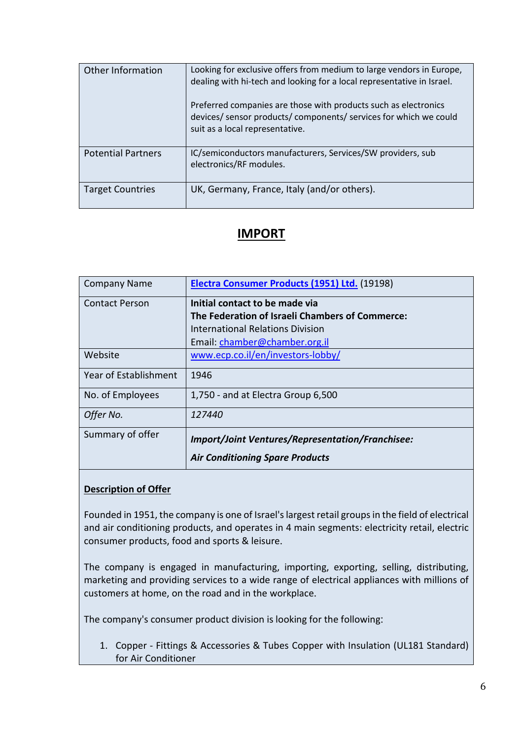| Other Information         | Looking for exclusive offers from medium to large vendors in Europe,<br>dealing with hi-tech and looking for a local representative in Israel.<br>Preferred companies are those with products such as electronics<br>devices/ sensor products/ components/ services for which we could<br>suit as a local representative. |
|---------------------------|---------------------------------------------------------------------------------------------------------------------------------------------------------------------------------------------------------------------------------------------------------------------------------------------------------------------------|
| <b>Potential Partners</b> | IC/semiconductors manufacturers, Services/SW providers, sub<br>electronics/RF modules.                                                                                                                                                                                                                                    |
| <b>Target Countries</b>   | UK, Germany, France, Italy (and/or others).                                                                                                                                                                                                                                                                               |

### **IMPORT**

| <b>Company Name</b>   | Electra Consumer Products (1951) Ltd. (19198)           |
|-----------------------|---------------------------------------------------------|
| <b>Contact Person</b> | Initial contact to be made via                          |
|                       | The Federation of Israeli Chambers of Commerce:         |
|                       | International Relations Division                        |
|                       | Email: chamber@chamber.org.il                           |
| Website               | www.ecp.co.il/en/investors-lobby/                       |
| Year of Establishment | 1946                                                    |
| No. of Employees      | 1,750 - and at Electra Group 6,500                      |
| Offer No.             | 127440                                                  |
| Summary of offer      | <b>Import/Joint Ventures/Representation/Franchisee:</b> |
|                       | <b>Air Conditioning Spare Products</b>                  |

### **Description of Offer**

Founded in 1951, the company is one of Israel's largest retail groups in the field of electrical and air conditioning products, and operates in 4 main segments: electricity retail, electric consumer products, food and sports & leisure.

The company is engaged in manufacturing, importing, exporting, selling, distributing, marketing and providing services to a wide range of electrical appliances with millions of customers at home, on the road and in the workplace.

The company's consumer product division is looking for the following:

1. Copper - Fittings & Accessories & Tubes Copper with Insulation (UL181 Standard) for Air Conditioner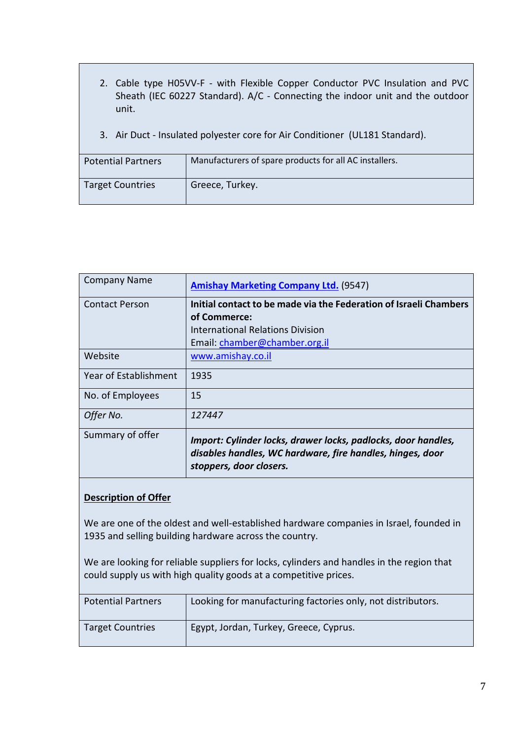- 2. Cable type H05VV-F with Flexible Copper Conductor PVC Insulation and PVC Sheath (IEC 60227 Standard). A/C - Connecting the indoor unit and the outdoor unit.
- 3. Air Duct Insulated polyester core for Air Conditioner (UL181 Standard).

| <b>Potential Partners</b> | Manufacturers of spare products for all AC installers. |
|---------------------------|--------------------------------------------------------|
| <b>Target Countries</b>   | Greece, Turkey.                                        |

| <b>Company Name</b>   | <b>Amishay Marketing Company Ltd. (9547)</b>                                                                                                           |
|-----------------------|--------------------------------------------------------------------------------------------------------------------------------------------------------|
| <b>Contact Person</b> | Initial contact to be made via the Federation of Israeli Chambers<br>of Commerce:<br>International Relations Division<br>Email: chamber@chamber.org.il |
| Website               | www.amishay.co.il                                                                                                                                      |
| Year of Establishment | 1935                                                                                                                                                   |
| No. of Employees      | 15                                                                                                                                                     |
| Offer No.             | 127447                                                                                                                                                 |
| Summary of offer      | Import: Cylinder locks, drawer locks, padlocks, door handles,<br>disables handles, WC hardware, fire handles, hinges, door<br>stoppers, door closers.  |

We are one of the oldest and well-established hardware companies in Israel, founded in 1935 and selling building hardware across the country.

We are looking for reliable suppliers for locks, cylinders and handles in the region that could supply us with high quality goods at a competitive prices.

| <b>Potential Partners</b> | Looking for manufacturing factories only, not distributors. |
|---------------------------|-------------------------------------------------------------|
| <b>Target Countries</b>   | Egypt, Jordan, Turkey, Greece, Cyprus.                      |